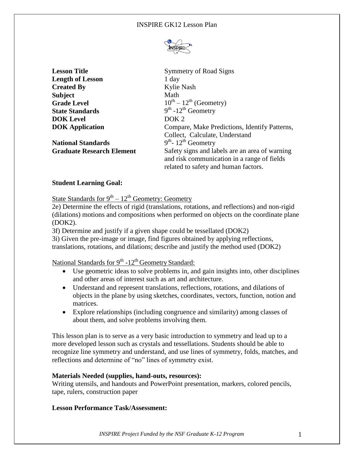

**Lesson Title** Symmetry of Road Signs **Length of Lesson** 1 day **Created By** Kylie Nash **Subject** Math **Grade Level State Standards DOK Level** DOK 2

**National Standards** 

 $10^{th} - 12^{th}$  (Geometry)  $th$  -12<sup>th</sup> Geometry **DOK Application Compare, Make Predictions, Identify Patterns,** Collect, Calculate, Understand <sup>th</sup>- 12<sup>th</sup> Geometry **Graduate Research Element** Safety signs and labels are an area of warning and risk communication in a range of fields related to safety and human factors.

### **Student Learning Goal:**

State Standards for  $9^{th} - 12^{th}$  Geometry: Geometry

2e) Determine the effects of rigid (translations, rotations, and reflections) and non-rigid (dilations) motions and compositions when performed on objects on the coordinate plane (DOK2).

3f) Determine and justify if a given shape could be tessellated (DOK2)

3i) Given the pre-image or image, find figures obtained by applying reflections, translations, rotations, and dilations; describe and justify the method used (DOK2)

# National Standards for 9<sup>th</sup> -12<sup>th</sup> Geometry Standard:

- Use geometric ideas to solve problems in, and gain insights into, other disciplines and other areas of interest such as art and architecture.
- Understand and represent translations, reflections, rotations, and dilations of objects in the plane by using sketches, coordinates, vectors, function, notion and matrices.
- Explore relationships (including congruence and similarity) among classes of about them, and solve problems involving them.

This lesson plan is to serve as a very basic introduction to symmetry and lead up to a more developed lesson such as crystals and tessellations. Students should be able to recognize line symmetry and understand, and use lines of symmetry, folds, matches, and reflections and determine of "no" lines of symmetry exist.

### **Materials Needed (supplies, hand-outs, resources):**

Writing utensils, and handouts and PowerPoint presentation, markers, colored pencils, tape, rulers, construction paper

### **Lesson Performance Task/Assessment:**

*INSPIRE Project Funded by the NSF Graduate K-12 Program* 1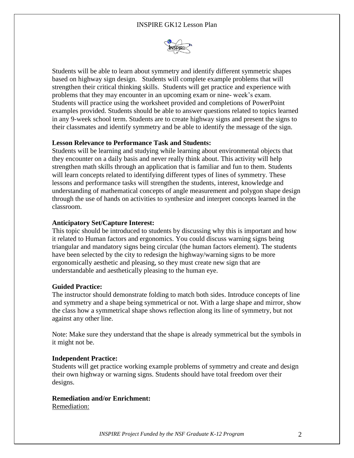

Students will be able to learn about symmetry and identify different symmetric shapes based on highway sign design. Students will complete example problems that will strengthen their critical thinking skills. Students will get practice and experience with problems that they may encounter in an upcoming exam or nine- week's exam. Students will practice using the worksheet provided and completions of PowerPoint examples provided. Students should be able to answer questions related to topics learned in any 9-week school term. Students are to create highway signs and present the signs to their classmates and identify symmetry and be able to identify the message of the sign.

### **Lesson Relevance to Performance Task and Students:**

Students will be learning and studying while learning about environmental objects that they encounter on a daily basis and never really think about. This activity will help strengthen math skills through an application that is familiar and fun to them. Students will learn concepts related to identifying different types of lines of symmetry. These lessons and performance tasks will strengthen the students, interest, knowledge and understanding of mathematical concepts of angle measurement and polygon shape design through the use of hands on activities to synthesize and interpret concepts learned in the classroom.

### **Anticipatory Set/Capture Interest:**

This topic should be introduced to students by discussing why this is important and how it related to Human factors and ergonomics. You could discuss warning signs being triangular and mandatory signs being circular (the human factors element). The students have been selected by the city to redesign the highway/warning signs to be more ergonomically aesthetic and pleasing, so they must create new sign that are understandable and aesthetically pleasing to the human eye.

### **Guided Practice:**

The instructor should demonstrate folding to match both sides. Introduce concepts of line and symmetry and a shape being symmetrical or not. With a large shape and mirror, show the class how a symmetrical shape shows reflection along its line of symmetry, but not against any other line.

Note: Make sure they understand that the shape is already symmetrical but the symbols in it might not be.

### **Independent Practice:**

Students will get practice working example problems of symmetry and create and design their own highway or warning signs. Students should have total freedom over their designs.

## **Remediation and/or Enrichment:**

Remediation: